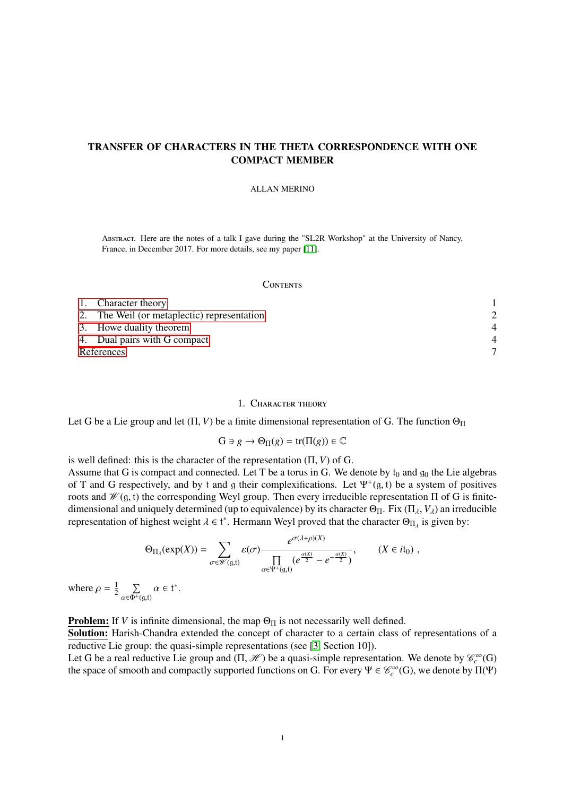# TRANSFER OF CHARACTERS IN THE THETA CORRESPONDENCE WITH ONE COMPACT MEMBER

#### ALLAN MERINO

Abstract. Here are the notes of a talk I gave during the "SL2R Workshop" at the University of Nancy, France, in December 2017. For more details, see my paper [\[11\]](#page-6-0).

### **CONTENTS**

| 1. Character theory                         |  |
|---------------------------------------------|--|
| 2. The Weil (or metaplectic) representation |  |
| 3. Howe duality theorem                     |  |
| 4. Dual pairs with G compact                |  |
| References                                  |  |

## 1. Character theory

<span id="page-0-0"></span>Let G be a Lie group and let  $(\Pi, V)$  be a finite dimensional representation of G. The function  $\Theta_{\Pi}$ 

$$
G\ni g\to \Theta_\Pi(g)={\rm tr}(\Pi(g))\in\mathbb{C}
$$

is well defined: this is the character of the representation (Π, *<sup>V</sup>*) of G.

Assume that G is compact and connected. Let T be a torus in G. We denote by  $t_0$  and  $g_0$  the Lie algebras of T and G respectively, and by t and g their complexifications. Let  $\Psi^+(g, t)$  be a system of positives roots and  $\mathcal{W}(g, t)$  the corresponding Weyl group. Then every irreducible representation  $\Pi$  of G is finiteroots and  $\mathcal{W}(\mathfrak{g},t)$  the corresponding Weyl group. Then every irreducible representation  $\Pi$  of G is finitedimensional and uniquely determined (up to equivalence) by its character  $\Theta_{\Pi}$ . Fix ( $\Pi_{\lambda}$ ,  $V_{\lambda}$ ) an irreducible representation of highest weight  $\lambda \in \mathfrak{t}^*$ . Hermann Weyl proved that the character  $\Theta_{\Pi_{\lambda}}$  is given by:

$$
\Theta_{\Pi_{\lambda}}(\exp(X)) = \sum_{\sigma \in \mathscr{W}(\mathfrak{g},\mathfrak{t})} \varepsilon(\sigma) \frac{e^{\sigma(\lambda+\rho)(X)}}{\prod\limits_{\alpha \in \Psi^+(\mathfrak{g},\mathfrak{t})} (e^{\frac{\alpha(X)}{2}} - e^{-\frac{\alpha(X)}{2}})},\qquad (X \in i\mathfrak{t}_0) ,
$$

where  $\rho = \frac{1}{2}$  $\frac{1}{2}$   $\sum$  $\sum_{\alpha \in \Phi^+(9,t)} \alpha \in t^*.$ 

**Problem:** If *V* is infinite dimensional, the map  $\Theta_{\Pi}$  is not necessarily well defined.

Solution: Harish-Chandra extended the concept of character to a certain class of representations of a reductive Lie group: the quasi-simple representations (see [\[3,](#page-6-2) Section 10]).

Let G be a real reductive Lie group and  $(\Pi, \mathcal{H})$  be a quasi-simple representation. We denote by  $\mathcal{C}_c^{\infty}(G)$  the space of smooth and compactly supported functions on G. For every  $\Psi \in \mathcal{C}^{\infty}(G)$ , we denote by the space of smooth and compactly supported functions on G. For every  $\Psi \in \mathcal{C}_c^{\infty}(G)$ , we denote by  $\Pi(\Psi)$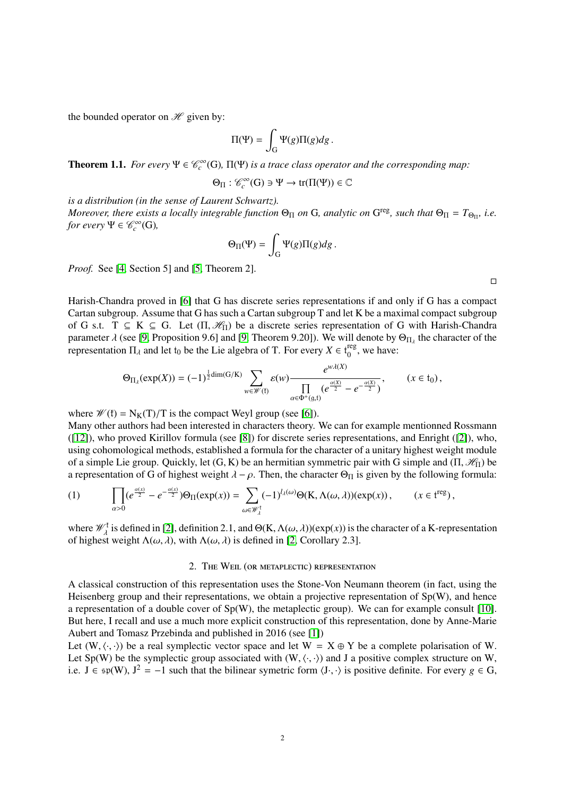the bounded operator on  $\mathcal{H}$  given by:

$$
\Pi(\Psi)=\int_{\mathcal{G}}\Psi(g)\Pi(g)dg\,.
$$

**Theorem 1.1.** *For every*  $\Psi \in \mathcal{C}_c^{\infty}(G)$ ,  $\Pi(\Psi)$  *is a trace class operator and the corresponding map*:

$$
\Theta_{\Pi}:\mathscr{C}_c^\infty(G)\ni\Psi\to\mathrm{tr}(\Pi(\Psi))\in\mathbb{C}
$$

*is a distribution (in the sense of Laurent Schwartz). Moreover, there exists a locally integrable function*  $\Theta_{\Pi}$  *on* G, *analytic on* G<sup>reg</sup>, *such that*  $\Theta_{\Pi} = T_{\Theta_{\Pi'}}$  *i.e. for every*  $\Psi \in \mathcal{C}_c^\infty(G)$ *,* 

$$
\Theta_\Pi(\Psi) = \int_{\mathcal{G}} \Psi(g) \Pi(g) dg \, .
$$

*Proof.* See [\[4,](#page-6-3) Section 5] and [\[5,](#page-6-4) Theorem 2].

Harish-Chandra proved in [\[6\]](#page-6-5) that G has discrete series representations if and only if G has a compact Cartan subgroup. Assume that G has such a Cartan subgroup T and let K be a maximal compact subgroup of G s.t.  $T \subseteq K \subseteq G$ . Let  $(\Pi, \mathcal{H}_{\Pi})$  be a discrete series representation of G with Harish-Chandra parameter  $\lambda$  (see [\[9,](#page-6-6) Proposition 9.6] and [9, Theorem 9.20]). We will denote by  $\Theta_{\Pi_{\lambda}}$  the character of the representation  $\Pi_{\lambda}$  and let to be the Lie algebra of T. For every  $X \in t^{\text{reg}}$  we have: representation  $\Pi_{\lambda}$  and let  $t_0$  be the Lie algebra of T. For every  $X \in t_0^{\text{reg}}$  $_{0}^{\text{reg}}$ , we have:

$$
\Theta_{\Pi_{\lambda}}(\exp(X)) = (-1)^{\frac{1}{2}\dim(G/K)} \sum_{w \in \mathscr{W}(\mathfrak{k})} \varepsilon(w) \frac{e^{w\lambda(X)}}{\prod\limits_{\alpha \in \Phi^+( \mathfrak{g}, \mathfrak{t})} (e^{\frac{\alpha(X)}{2}} - e^{-\frac{\alpha(X)}{2}})}, \qquad (x \in t_0),
$$

where  $\mathcal{W}(f) = N_K(T)/T$  is the compact Weyl group (see [\[6\]](#page-6-5)).

Many other authors had been interested in characters theory. We can for example mentionned Rossmann ([\[12\]](#page-6-7)), who proved Kirillov formula (see [\[8\]](#page-6-8)) for discrete series representations, and Enright ([\[2\]](#page-6-9)), who, using cohomological methods, established a formula for the character of a unitary highest weight module of a simple Lie group. Quickly, let  $(G, K)$  be an hermitian symmetric pair with G simple and  $(\Pi, \mathcal{H}_{\Pi})$  be a representation of G of highest weight  $\lambda - \rho$ . Then, the character  $\Theta_{\Pi}$  is given by the following formula:

(1) 
$$
\prod_{\alpha>0}(e^{\frac{\alpha(x)}{2}}-e^{-\frac{\alpha(x)}{2}})\Theta_{\Pi}(\exp(x))=\sum_{\omega\in\mathscr{W}_{\lambda}^{\dagger}}(-1)^{l_{\lambda}(\omega)}\Theta(K,\Lambda(\omega,\lambda))(\exp(x)), \qquad (x\in\mathfrak{t}^{\text{reg}}),
$$

where  $\mathscr{W}^{\mathfrak{k}}_{\lambda}$  $\lambda_{\lambda}^{t}$  is defined in [\[2\]](#page-6-9), definition 2.1, and Θ(K,  $\Lambda(\omega,\lambda)$ )(exp(*x*)) is the character of a K-representation at weight  $\Lambda(\omega,\lambda)$  with  $\Lambda(\omega,\lambda)$  is defined in [2] Corollary 2.3] of highest weight  $\Lambda(\omega, \lambda)$ , with  $\Lambda(\omega, \lambda)$  is defined in [\[2,](#page-6-9) Corollary 2.3].

### 2. The Weil (or metaplectic) representation

<span id="page-1-0"></span>A classical construction of this representation uses the Stone-Von Neumann theorem (in fact, using the Heisenberg group and their representations, we obtain a projective representation of Sp(W), and hence a representation of a double cover of  $Sp(W)$ , the metaplectic group). We can for example consult [\[10\]](#page-6-10). But here, I recall and use a much more explicit construction of this representation, done by Anne-Marie Aubert and Tomasz Przebinda and published in 2016 (see [\[1\]](#page-6-11))

Let  $(W, \langle \cdot, \cdot \rangle)$  be a real symplectic vector space and let  $W = X \oplus Y$  be a complete polarisation of W. Let Sp(W) be the symplectic group associated with  $(W, \langle \cdot, \cdot \rangle)$  and J a positive complex structure on W, i.e.  $J \in sp(W)$ ,  $J^2 = -1$  such that the bilinear symetric form  $\langle J \cdot, \cdot \rangle$  is positive definite. For every *g* ∈ G,

 $\Box$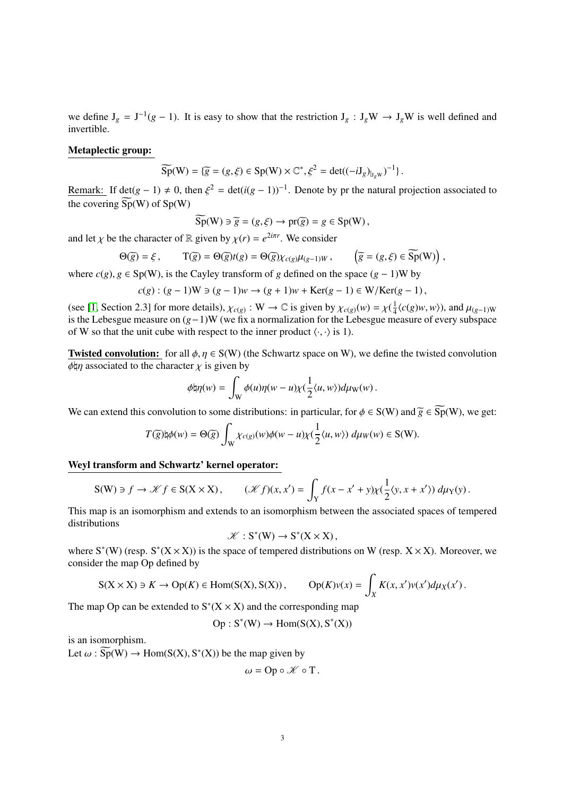we define  $J_g = J^{-1}(g - 1)$ . It is easy to show that the restriction  $J_g : J_g W \to J_g W$  is well defined and invertible.

## Metaplectic group:

$$
\widetilde{\mathrm{Sp}}(\mathrm{W}) = \{ \widetilde{g} = (g, \xi) \in \mathrm{Sp}(\mathrm{W}) \times \mathbb{C}^*, \xi^2 = \det((-i\mathrm{J}_g)_{|_{J_g\mathrm{W}}})^{-1} \}.
$$

Remark: If det( $g - 1$ )  $\neq 0$ , then  $\xi^2 = \det(i(g - 1))^{-1}$ . Denote by pr the natural projection associated to the agreement  $\widetilde{S}_P(W)$  of  $S_P(W)$ the covering  $\widetilde{Sp}(W)$  of  $Sp(W)$ 

$$
Sp(W) \ni \widetilde{g} = (g, \xi) \to pr(\widetilde{g}) = g \in Sp(W),
$$

and let  $\chi$  be the character of R given by  $\chi(r) = e^{2i\pi r}$ . We consider

$$
\Theta(\widetilde{g}) = \xi, \qquad \Upsilon(\widetilde{g}) = \Theta(\widetilde{g})t(g) = \Theta(\widetilde{g})\chi_{c(g)}\mu_{(g-1)W}, \qquad \left(\widetilde{g} = (g,\xi) \in \widetilde{\text{Sp}}(W)\right),
$$

where  $c(g)$ ,  $g \in Sp(W)$ , is the Cayley transform of *g* defined on the space  $(g - 1)W$  by

$$
c(g) : (g-1)W \ni (g-1)w \to (g+1)w + \text{Ker}(g-1) \in W/\text{Ker}(g-1),
$$

(see [\[1,](#page-6-11) Section 2.3] for more details),  $\chi_{c(g)} : W \to \mathbb{C}$  is given by  $\chi_{c(g)}(w) = \chi(\frac{1}{4})$ <br>is the Lebesgue measure on  $(a-1)W$  (we fix a normalization for the Lebesgue mo  $\frac{1}{4}$  $\langle c(g)w, w \rangle$ ), and  $\mu_{(g-1)W}$ is the Lebesgue measure on (*g*−1)W (we fix a normalization for the Lebesgue measure of every subspace of W so that the unit cube with respect to the inner product  $\langle \cdot, \cdot \rangle$  is 1).

**Twisted convolution:** for all  $\phi, \eta \in S(W)$  (the Schwartz space on W), we define the twisted convolution  $φ$ μη associated to the character  $χ$  is given by

$$
\phi\natural\eta(w)=\int_{\mathrm{W}}\phi(u)\eta(w-u)\chi(\frac{1}{2}\langle u,w\rangle)d\mu_{\mathrm{W}}(w)\,.
$$

We can extend this convolution to some distributions: in particular, for  $\phi \in S(W)$  and  $\widetilde{g} \in \widetilde{Sp}(W)$ , we get:

$$
T(\widetilde{g})\natural \phi(w) = \Theta(\widetilde{g}) \int_W \chi_{c(g)}(w)\phi(w-u)\chi(\frac{1}{2}\langle u,w\rangle) \ d\mu_W(w) \in {\rm S(W)}.
$$

### Weyl transform and Schwartz' kernel operator:

$$
S(W) \ni f \to \mathcal{K}f \in S(X \times X), \qquad (\mathcal{K}f)(x, x') = \int_Y f(x - x' + y)\chi(\frac{1}{2}\langle y, x + x'\rangle) \, d\mu_Y(y).
$$

This map is an isomorphism and extends to an isomorphism between the associated spaces of tempered distributions

$$
\mathscr{K}:S^*(W)\to S^*(X\times X),
$$

 $\mathscr{K}: S^*(W) \to S^*(X \times X)$ ,<br>where  $S^*(W)$  (resp.  $S^*(X \times X)$ ) is the space of tempered distributions on W (resp.  $X \times X$ ). Moreover, we consider the map Op defined by

$$
S(X \times X) \ni K \to \text{Op}(K) \in \text{Hom}(S(X), S(X)), \qquad \text{Op}(K)v(x) = \int_X K(x, x')v(x')d\mu_X(x').
$$

The map Op can be extended to  $S^*(X \times X)$  and the corresponding map

$$
Op: S^*(W) \to Hom(S(X), S^*(X))
$$

is an isomorphism.

Let  $\omega : \widetilde{\mathrm{Sp}}(W) \to \mathrm{Hom}(\mathrm{S}(X), \mathrm{S}^*(X))$  be the map given by

$$
\omega = \text{Op} \circ \mathscr{K} \circ \text{T}.
$$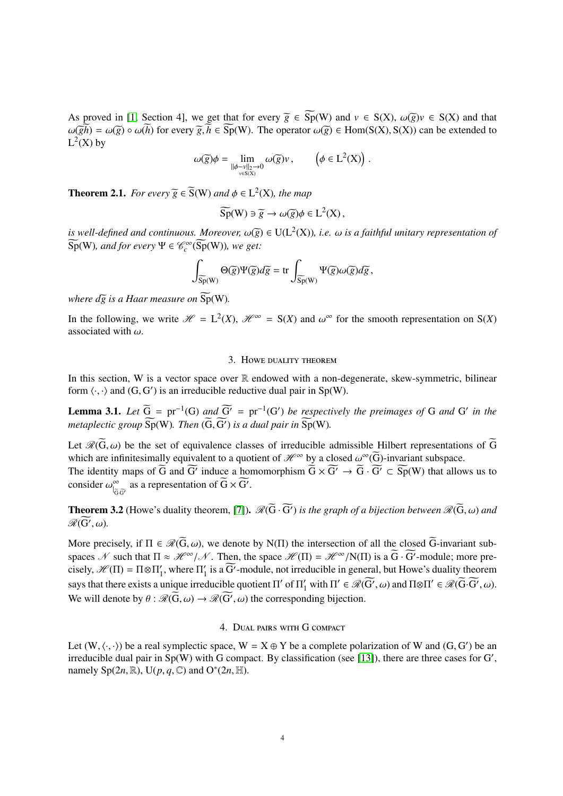As proved in [\[1,](#page-6-11) Section 4], we get that for every  $\tilde{g} \in \widetilde{Sp}(W)$  and  $v \in S(X)$ ,  $\omega(\tilde{g})v \in S(X)$  and that  $\omega(\widetilde{gh}) = \omega(\widetilde{g}) \circ \omega(\widetilde{h})$  for every  $\widetilde{g}, \widetilde{h} \in \widetilde{Sp}(W)$ . The operator  $\omega(\widetilde{g}) \in Hom(S(X), S(X))$  can be extended to  $L^2(X)$  by

$$
\omega(\widetilde{g})\phi = \lim_{\substack{\|\phi - \nu\|_2 \to 0 \\ \text{v\in S(X)}}} \omega(\widetilde{g})\nu\,, \qquad \left(\phi \in \mathrm{L}^2(\mathrm{X})\right)\,.
$$

**Theorem 2.1.** *For every*  $\widetilde{g} \in \widetilde{S}(W)$  *and*  $\phi \in L^2(X)$ *, the map* 

$$
\widetilde{\mathrm{Sp}}(W) \ni \widetilde{g} \to \omega(\widetilde{g})\phi \in L^2(X)\,,
$$

*is well-defined and continuous. Moreover,*  $\omega(\bar{g}) \in U(L^2(X))$ *, i.e.*  $\omega$  *is a faithful unitary representation of*<br> $\widetilde{S}_P(W)$  and for every  $\Psi \in \mathscr{C}^{\infty}(\widetilde{S}_P(W))$  we get:  $\widetilde{\mathrm{Sp}}(W)$ , and for every  $\Psi \in \mathscr{C}_c^\infty(\widetilde{\mathrm{Sp}}(W))$ , we get:

$$
\int_{\widetilde{\mathrm{Sp}}(\mathrm{W})} \Theta(\widetilde{g}) \Psi(\widetilde{g}) d\widetilde{g} = \mathrm{tr} \int_{\widetilde{\mathrm{Sp}}(\mathrm{W})} \Psi(\widetilde{g}) \omega(\widetilde{g}) d\widetilde{g},
$$

*where*  $d\overline{g}$  *is a Haar measure on*  $\widetilde{Sp}(W)$ *.* 

In the following, we write  $\mathcal{H} = L^2(X)$ ,  $\mathcal{H}^{\infty} = S(X)$  and  $\omega^{\infty}$  for the smooth representation on  $S(X)$  associated with  $\omega$ associated with  $\omega$ .

## 3. Howe duality theorem

<span id="page-3-0"></span>In this section, W is a vector space over  $\mathbb R$  endowed with a non-degenerate, skew-symmetric, bilinear form  $\langle \cdot, \cdot \rangle$  and  $(G, G')$  is an irreducible reductive dual pair in Sp(W).

**Lemma 3.1.** *Let*  $\widetilde{G} = pr^{-1}(G)$  *and*  $\widetilde{G'} = pr^{-1}(G')$  *be respectively the preimages of* G *and* G' *in the metaplectic group*  $\widetilde{\mathrm{Sp}}(W)$ *. Then*  $(\widetilde{G}, \widetilde{G'})$  *is a dual pair in*  $\widetilde{\mathrm{Sp}}(W)$ *.* 

Let  $\mathcal{R}(G,\omega)$  be the set of equivalence classes of irreducible admissible Hilbert representations of G which are infinitesimally equivalent to a quotient of  $\mathcal{H}^{\infty}$  by a closed  $\omega^{\infty}(\widetilde{G})$ -invariant subspace.<br>The identity maps of  $\widetilde{G}$  and  $\widetilde{G}'$  induce a homomorphism  $\widetilde{G} \times \widetilde{G'} \to \widetilde{G} \cdot \widetilde{G'} \subset$ 

The identity maps of  $\overline{G}$  and  $\overline{G'}$  induce a homomorphism  $\overline{G} \times \overline{G'} \to \overline{G} \cdot \overline{G'} \subset \overline{Sp}(W)$  that allows us to consider  $\omega_{\vert_{\widetilde{G}}}^{\infty}$  $\int_{\widetilde{G}\cdot\widetilde{G}'}$  as a representation of  $\widetilde{G}\times\widetilde{G'}$ .

**Theorem 3.2** (Howe's duality theorem, [\[7\]](#page-6-12)).  $\mathcal{R}(\overline{G} \cdot \overline{G}')$  *is the graph of a bijection between*  $\mathcal{R}(\overline{G}, \omega)$  *and*  $\mathcal{R}(\overline{G}')$  $\mathscr{R}(\widetilde{\mathrm{G}}',\omega)$ .

More precisely, if  $\Pi \in \mathcal{R}(\widetilde{G}, \omega)$ , we denote by N( $\Pi$ ) the intersection of all the closed  $\widetilde{G}$ -invariant subspaces N such that  $\Pi \approx \mathcal{H}^{\infty}/\mathcal{N}$ . Then, the space  $\mathcal{H}(\Pi) = \mathcal{H}^{\infty}/N(\Pi)$  is a  $\widetilde{G} \cdot \widetilde{G}'$ -module; more pre-<br>cisely  $\mathcal{H}(\Pi) = \Pi \otimes \Pi'$ , where  $\Pi'$  is a  $\widetilde{G}'$  module, not irreducible in general, cisely,  $\mathscr{H}(\Pi) = \Pi \otimes \Pi_1'$  $\mathcal{I}_1$ , where  $\Pi_1'$  $\frac{1}{1}$  is a  $\overline{G'}$ -module, not irreducible in general, but Howe's duality theorem says that there exists a unique irreducible quotient  $\Pi'$  of  $\Pi'_{1}$  with  $\Pi' \in \mathcal{R}(\widetilde{G'}, \omega)$  and  $\Pi \otimes \Pi' \in \mathcal{R}(\widetilde{G}, \widetilde{G'}, \omega)$ .<br>We will denote by  $\theta \in \mathcal{R}(\widetilde{G}, \omega)$  the corresponding bijection We will denote by  $\theta$ :  $\mathcal{R}(\overline{G}, \omega) \to \mathcal{R}(\overline{G'}, \omega)$  the corresponding bijection.

# 4. Dual pairs with G compact

<span id="page-3-1"></span>Let  $(W, \langle \cdot, \cdot \rangle)$  be a real symplectic space,  $W = X \oplus Y$  be a complete polarization of W and  $(G, G')$  be an irreducible dual pair in Sp(W) with G compact. By classification (see [13]), there are three cases for G' irreducible dual pair in  $Sp(W)$  with G compact. By classification (see [\[13\]](#page-6-13)), there are three cases for G', namely Sp $(2n, \mathbb{R})$ , U $(p, q, \mathbb{C})$  and O<sup>\*</sup> $(2n, \mathbb{H})$ .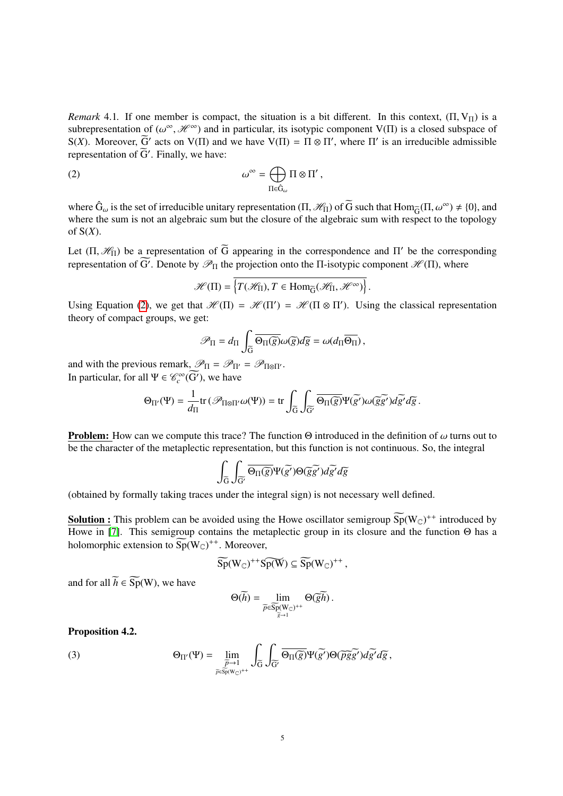*Remark* 4.1. If one member is compact, the situation is a bit different. In this context,  $(\Pi, V_{\Pi})$  is a subrepresentation of  $(\omega^{\infty}, \mathcal{H}^{\infty})$  and in particular, its isotypic component V(Π) is a closed subspace of  $S(Y)$ . Moreover  $\widetilde{S}'$  acts on  $V(\Pi)$  and we have  $V(\Pi) - \Pi \otimes \Pi'$ , where  $\Pi'$  is an irreducible admissib S(*X*). Moreover,  $\widetilde{G}'$  acts on V( $\Pi$ ) and we have V( $\Pi$ ) =  $\Pi \otimes \Pi'$ , where  $\Pi'$  is an irreducible admissible representation of  $\widetilde{G}'$ . Finally, we have:

(2) 
$$
\omega^{\infty} = \bigoplus_{\Pi \in \hat{G}_{\omega}} \Pi \otimes \Pi',
$$

where  $\hat{G}_{\omega}$  is the set of irreducible unitary representation  $(\Pi, \mathcal{H}_{\Pi})$  of  $\tilde{G}$  such that  $\text{Hom}_{\tilde{G}}(\Pi, \omega^{\infty}) \neq \{0\}$ , and where the sum is not an algebraic sum but the closure of the algebraic sum with r where the sum is not an algebraic sum but the closure of the algebraic sum with respect to the topology of S(*X*).

Let  $(\Pi, \mathcal{H}_{\Pi})$  be a representation of  $\widetilde{G}$  appearing in the correspondence and  $\Pi'$  be the corresponding representation of  $\widetilde{G}'$ . Denote by  $\mathcal{P}_{\Pi}$  the projection onto the  $\Pi$  isotypic component  $\mathcal{H}$ representation of  $\overline{G'}$ . Denote by  $\mathscr{P}_{\Pi}$  the projection onto the  $\Pi$ -isotypic component  $\mathscr{H}(\Pi)$ , where

<span id="page-4-0"></span>
$$
\mathscr{H}(\Pi) = \left\{ T(\mathscr{H}_{\Pi}), T \in \text{Hom}_{\widetilde{G}}(\mathscr{H}_{\Pi}, \mathscr{H}^{\infty}) \right\}.
$$

Using Equation [\(2\)](#page-4-0), we get that  $\mathcal{H}(\Pi) = \mathcal{H}(\Pi') = \mathcal{H}(\Pi \otimes \Pi')$ . Using the classical representation theory of compact groups, we get:

$$
\mathscr{P}_{\Pi} = d_{\Pi} \int_{\widetilde{\mathbb{G}}} \overline{\Theta_{\Pi}(\widetilde{g})} \omega(\widetilde{g}) d\widetilde{g} = \omega(d_{\Pi} \overline{\Theta_{\Pi}}),
$$

and with the previous remark,  $\mathcal{P}_{\Pi} = \mathcal{P}_{\Pi'} = \mathcal{P}_{\Pi \otimes \Pi'}$ . In particular, for all  $\Psi \in \mathcal{C}_c^{\infty}(\widetilde{G}')$ , we have

$$
\Theta_{\Pi'}(\Psi) = \frac{1}{d_{\Pi}} \text{tr} \left( \mathscr{P}_{\Pi \otimes \Pi'} \omega(\Psi) \right) = \text{tr} \int_{\widetilde{G}} \int_{\widetilde{G}'} \overline{\Theta_{\Pi}(\widetilde{g})} \Psi(\widetilde{g'}) \omega(\widetilde{g}\widetilde{g'}) d\widetilde{g'} d\widetilde{g}.
$$

**Problem:** How can we compute this trace? The function  $\Theta$  introduced in the definition of  $\omega$  turns out to be the character of the metaplectic representation, but this function is not continuous. So, the integral

$$
\int_{\widetilde{G}}\int_{\widetilde{G}'}\overline{\Theta_{\Pi}(\widetilde{g})}\Psi(\widetilde{g'})\Theta(\widetilde{g}\widetilde{g'})d\widetilde{g'}d\widetilde{g}
$$

(obtained by formally taking traces under the integral sign) is not necessary well defined.

**Solution :** This problem can be avoided using the Howe oscillator semigroup  $\widetilde{Sp}(W_{\mathbb{C}})^{++}$  introduced by Howe in [\[7\]](#page-6-12). This semigroup contains the metaplectic group in its closure and the function Θ has a holomorphic extension to  $\widetilde{\mathrm{Sp}}(W_{\mathbb C})^{++}$ . Moreover,

$$
\widetilde{Sp}(W_{\mathbb{C}})^{++} \widetilde{Sp(W)} \subseteq \widetilde{Sp}(W_{\mathbb{C}})^{++}\,,
$$

and for all  $\widetilde{h} \in \widetilde{\mathrm{Sp}}(W)$ , we have

$$
\Theta(h) = \lim_{\substack{\widetilde{p} \in \widetilde{\mathrm{Sp}}(W_{\mathbb{C}})^{++} \\ \widetilde{g} \to 1}} \Theta(\widetilde{g}h).
$$

Proposition 4.2.

(3) 
$$
\Theta_{\Pi'}(\Psi) = \lim_{\substack{\overline{p} \to 1 \\ \overline{p} \in \overline{\text{Sp}}(\mathbb{N}_\mathbb{C})^{++}}} \int_{\widetilde{G}} \int_{\widetilde{G}'} \overline{\Theta_{\Pi}(\widetilde{g})} \Psi(\widetilde{g'}) \Theta(\widetilde{pgg'}) d\widetilde{g'} d\widetilde{g},
$$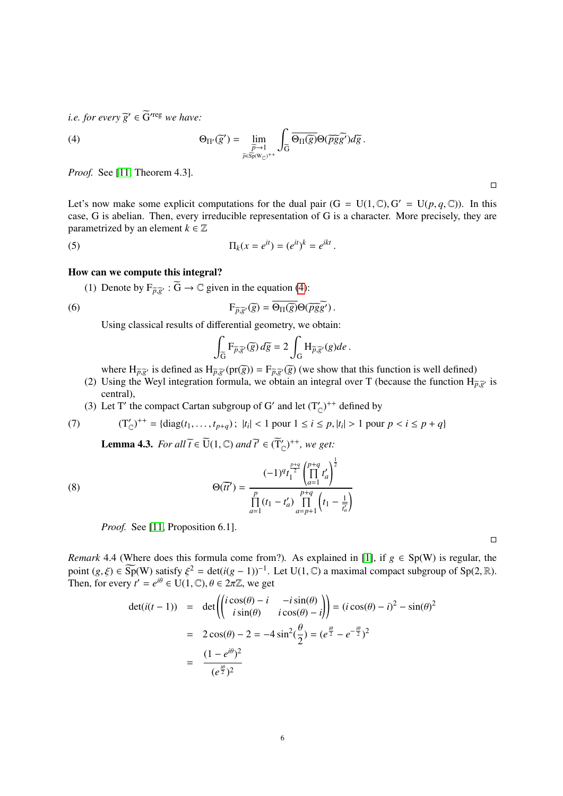*i.e. for every*  $\widetilde{g}' \in \widetilde{G}$ <sup>reg</sup> we have:

<span id="page-5-0"></span>(4) 
$$
\Theta_{\Pi'}(\widetilde{g}') = \lim_{\substack{\widetilde{p}\to 1\\ \widetilde{p}\in \widetilde{\mathrm{Sp}}(W_{\mathbb{C}})^{++}}} \int_{\widetilde{G}} \overline{\Theta_{\Pi}(\widetilde{g})} \Theta(\widetilde{p}\widetilde{g}\widetilde{g}') d\widetilde{g}.
$$

*Proof.* See [\[11,](#page-6-0) Theorem 4.3].

Let's now make some explicit computations for the dual pair  $(G = U(1, \mathbb{C}), G' = U(p, q, \mathbb{C}))$ . In this case G is abelian. Then every irreducible representation of G is a character. More precisely, they are case, G is abelian. Then, every irreducible representation of G is a character. More precisely, they are parametrized by an element  $k \in \mathbb{Z}$ 

(5) 
$$
\Pi_k(x = e^{it}) = (e^{it})^k = e^{ikt}.
$$

## How can we compute this integral?

(1) Denote by  $F_{\widetilde{p},\widetilde{g}'} : \widetilde{G} \to \mathbb{C}$  given in the equation [\(4\)](#page-5-0):

(6) 
$$
F_{\widetilde{p},\widetilde{g}'}(\widetilde{g}) = \overline{\Theta_{\Pi}(\widetilde{g})} \Theta(\widetilde{pgg}').
$$

Using classical results of differential geometry, we obtain:

$$
\int_{\widetilde{G}} F_{\widetilde{p},\widetilde{g}'}(\widetilde{g}) d\widetilde{g} = 2 \int_{G} H_{\widetilde{p},\widetilde{g}'}(g) de.
$$

where  $H_{\overline{p},\overline{g}'}$  is defined as  $H_{\overline{p},\overline{g}'}(pr(\overline{g})) = F_{\overline{p},\overline{g}'}(\overline{g})$  (we show that this function is well defined)

- (2) Using the Weyl integration formula, we obtain an integral over T (because the function  $H_{\tilde{p},\tilde{g}'}$  is central) central),
- (3) Let T' the compact Cartan subgroup of G' and let  $(T'_{\mathbb{C}})^{++}$  defined by

(7) 
$$
(T'_{\mathbb{C}})^{++} = {\text{diag}}(t_1, \ldots, t_{p+q}); \ |t_i| < 1 \text{ pour } 1 \leq i \leq p, |t_i| > 1 \text{ pour } p < i \leq p+q
$$

<span id="page-5-1"></span>**Lemma 4.3.** *For all*  $\widetilde{t} \in \widetilde{U}(1, \mathbb{C})$  *and*  $\widetilde{t'} \in (\widetilde{T}_{\mathbb{C}}')^{++}$ *, we get:* 

(8) 
$$
\Theta(\overline{tt'}) = \frac{(-1)^q t_1^{\frac{p+q}{2}} \left(\prod_{a=1}^{p+q} t'_a\right)^{\frac{1}{2}}}{\prod_{a=1}^p (t_1 - t'_a) \prod_{a=p+1}^{p+q} \left(t_1 - \frac{1}{t'_a}\right)}
$$

*Proof.* See [\[11,](#page-6-0) Proposition 6.1].

*Remark* 4.4 (Where does this formula come from?). As explained in [\[1\]](#page-6-11), if  $g \in Sp(W)$  is regular, the point  $(g, \xi) \in \widetilde{\text{Sp}}(W)$  satisfy  $\xi^2 = \det(i(g-1))^{-1}$ . Let  $U(1, \mathbb{C})$  a maximal compact subgroup of  $\text{Sp}(2, \mathbb{R})$ .<br>Then for every  $t' = e^{i\theta} \in U(1, \mathbb{C})$   $\theta \in 2\pi\mathbb{Z}$  we get Then, for every  $t' = e^{i\theta} \in U(1, \mathbb{C}), \theta \in 2\pi\mathbb{Z}$ , we get

$$
\det(i(t-1)) = \det \left( \begin{pmatrix} i\cos(\theta) - i & -i\sin(\theta) \\ i\sin(\theta) & i\cos(\theta) - i \end{pmatrix} \right) = (i\cos(\theta) - i)^2 - \sin(\theta)^2
$$

$$
= 2\cos(\theta) - 2 = -4\sin^2(\frac{\theta}{2}) = (e^{\frac{i\theta}{2}} - e^{-\frac{i\theta}{2}})^2
$$

$$
= \frac{(1 - e^{i\theta})^2}{(e^{\frac{i\theta}{2}})^2}
$$

 $\Box$ 

 $\Box$